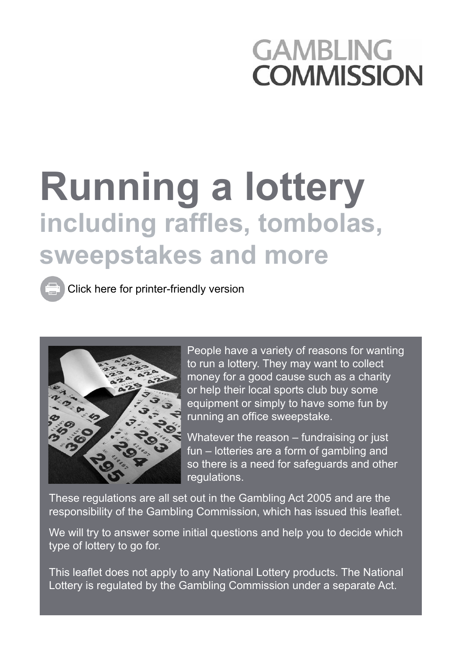## **GAMBLING COMMISSION**

# **Running a lottery including raffles, tombolas, sweepstakes and more**

[Click here for printer-friendly version](http://www.gamblingcommission.gov.uk/PDF/Running a lottery - print version.pdf)



People have a variety of reasons for wanting to run a lottery. They may want to collect money for a good cause such as a charity or help their local sports club buy some equipment or simply to have some fun by running an office sweepstake.

Whatever the reason – fundraising or just fun – lotteries are a form of gambling and so there is a need for safeguards and other regulations.

These regulations are all set out in the Gambling Act 2005 and are the responsibility of the Gambling Commission, which has issued this leaflet.

We will try to answer some initial questions and help you to decide which type of lottery to go for.

This leaflet does not apply to any National Lottery products. The National Lottery is regulated by the Gambling Commission under a separate Act.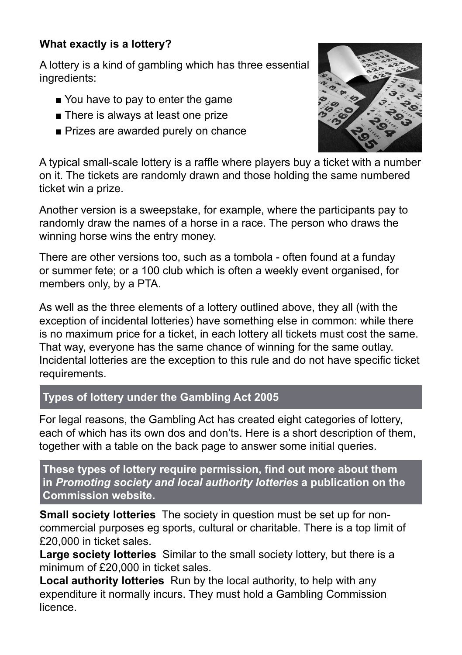### **What exactly is a lottery?**

A lottery is a kind of gambling which has three essential ingredients:

- You have to pay to enter the game
- There is always at least one prize
- Prizes are awarded purely on chance



A typical small-scale lottery is a raffle where players buy a ticket with a number on it. The tickets are randomly drawn and those holding the same numbered ticket win a prize.

Another version is a sweepstake, for example, where the participants pay to randomly draw the names of a horse in a race. The person who draws the winning horse wins the entry money.

There are other versions too, such as a tombola - often found at a funday or summer fete; or a 100 club which is often a weekly event organised, for members only, by a PTA.

As well as the three elements of a lottery outlined above, they all (with the exception of incidental lotteries) have something else in common: while there is no maximum price for a ticket, in each lottery all tickets must cost the same. That way, everyone has the same chance of winning for the same outlay. Incidental lotteries are the exception to this rule and do not have specific ticket requirements.

#### **Types of lottery under the Gambling Act 2005**

For legal reasons, the Gambling Act has created eight categories of lottery, each of which has its own dos and don'ts. Here is a short description of them, together with a table on the back page to answer some initial queries.

**These types of lottery require permission, find out more about them in** *[Promoting society and local authority lotteries](http://www.gamblingcommission.gov.uk/pdf/Promoting-society-and-local-authority-lotteries.pdf)* **a publication on the Commission website.**

**Small society lotteries** The society in question must be set up for noncommercial purposes eg sports, cultural or charitable. There is a top limit of £20,000 in ticket sales.

**Large society lotteries** Similar to the small society lottery, but there is a minimum of £20,000 in ticket sales.

**Local authority lotteries** Run by the local authority, to help with any expenditure it normally incurs. They must hold a Gambling Commission licence.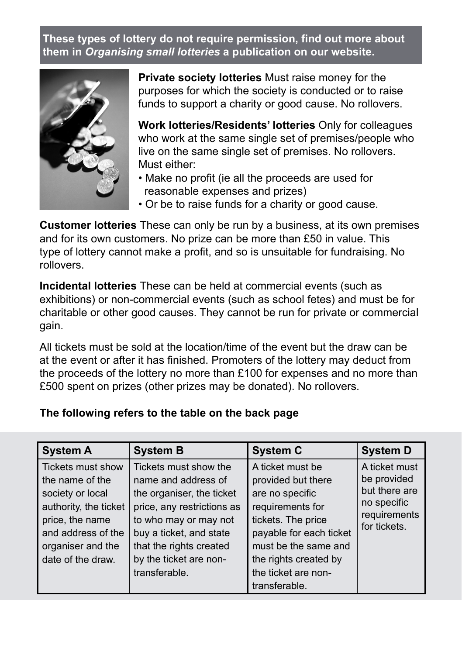**These types of lottery do not require permission, find out more about them in** *Organising small lotteries* **[a publication on our website.](http://www.gamblingcommission.gov.uk/pdf/organising-small-lotteries.pdf)**



**Private society lotteries** Must raise money for the purposes for which the society is conducted or to raise funds to support a charity or good cause. No rollovers.

**Work lotteries/Residents' lotteries** Only for colleagues who work at the same single set of premises/people who live on the same single set of premises. No rollovers. Must either:

- Make no profit (ie all the proceeds are used for reasonable expenses and prizes)
- Or be to raise funds for a charity or good cause.

**Customer lotteries** These can only be run by a business, at its own premises and for its own customers. No prize can be more than £50 in value. This type of lottery cannot make a profit, and so is unsuitable for fundraising. No rollovers.

**Incidental lotteries** These can be held at commercial events (such as exhibitions) or non-commercial events (such as school fetes) and must be for charitable or other good causes. They cannot be run for private or commercial gain.

All tickets must be sold at the location/time of the event but the draw can be at the event or after it has finished. Promoters of the lottery may deduct from the proceeds of the lottery no more than £100 for expenses and no more than £500 spent on prizes (other prizes may be donated). No rollovers.

#### **The following refers to the table on the back page**

| <b>System A</b>                                                                                                                                                      | <b>System B</b>                                                                                                                                                                                                                   | <b>System C</b>                                                                                                                                                                                                         | <b>System D</b>                                                                              |
|----------------------------------------------------------------------------------------------------------------------------------------------------------------------|-----------------------------------------------------------------------------------------------------------------------------------------------------------------------------------------------------------------------------------|-------------------------------------------------------------------------------------------------------------------------------------------------------------------------------------------------------------------------|----------------------------------------------------------------------------------------------|
| Tickets must show<br>the name of the<br>society or local<br>authority, the ticket<br>price, the name<br>and address of the<br>organiser and the<br>date of the draw. | Tickets must show the<br>name and address of<br>the organiser, the ticket<br>price, any restrictions as<br>to who may or may not<br>buy a ticket, and state<br>that the rights created<br>by the ticket are non-<br>transferable. | A ticket must be<br>provided but there<br>are no specific<br>requirements for<br>tickets. The price<br>payable for each ticket<br>must be the same and<br>the rights created by<br>the ticket are non-<br>transferable. | A ticket must<br>be provided<br>but there are<br>no specific<br>requirements<br>for tickets. |